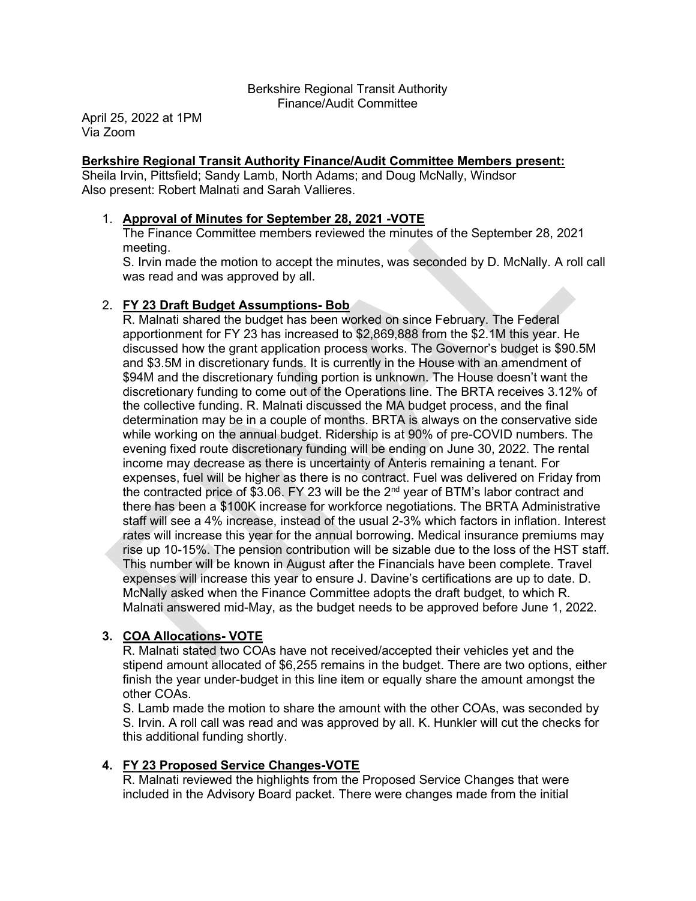#### Berkshire Regional Transit Authority Finance/Audit Committee

April 25, 2022 at 1PM Via Zoom

#### Berkshire Regional Transit Authority Finance/Audit Committee Members present:

Sheila Irvin, Pittsfield; Sandy Lamb, North Adams; and Doug McNally, Windsor Also present: Robert Malnati and Sarah Vallieres.

#### 1. Approval of Minutes for September 28, 2021 -VOTE

The Finance Committee members reviewed the minutes of the September 28, 2021 meeting.

S. Irvin made the motion to accept the minutes, was seconded by D. McNally. A roll call was read and was approved by all.

# 2. FY 23 Draft Budget Assumptions- Bob

R. Malnati shared the budget has been worked on since February. The Federal apportionment for FY 23 has increased to \$2,869,888 from the \$2.1M this year. He discussed how the grant application process works. The Governor's budget is \$90.5M and \$3.5M in discretionary funds. It is currently in the House with an amendment of \$94M and the discretionary funding portion is unknown. The House doesn't want the discretionary funding to come out of the Operations line. The BRTA receives 3.12% of the collective funding. R. Malnati discussed the MA budget process, and the final determination may be in a couple of months. BRTA is always on the conservative side while working on the annual budget. Ridership is at 90% of pre-COVID numbers. The evening fixed route discretionary funding will be ending on June 30, 2022. The rental income may decrease as there is uncertainty of Anteris remaining a tenant. For expenses, fuel will be higher as there is no contract. Fuel was delivered on Friday from the contracted price of \$3.06. FY 23 will be the 2<sup>nd</sup> year of BTM's labor contract and there has been a \$100K increase for workforce negotiations. The BRTA Administrative staff will see a 4% increase, instead of the usual 2-3% which factors in inflation. Interest rates will increase this year for the annual borrowing. Medical insurance premiums may rise up 10-15%. The pension contribution will be sizable due to the loss of the HST staff. This number will be known in August after the Financials have been complete. Travel expenses will increase this year to ensure J. Davine's certifications are up to date. D. McNally asked when the Finance Committee adopts the draft budget, to which R. Malnati answered mid-May, as the budget needs to be approved before June 1, 2022.

# 3. COA Allocations- VOTE

R. Malnati stated two COAs have not received/accepted their vehicles yet and the stipend amount allocated of \$6,255 remains in the budget. There are two options, either finish the year under-budget in this line item or equally share the amount amongst the other COAs.

S. Lamb made the motion to share the amount with the other COAs, was seconded by S. Irvin. A roll call was read and was approved by all. K. Hunkler will cut the checks for this additional funding shortly.

# 4. FY 23 Proposed Service Changes-VOTE

R. Malnati reviewed the highlights from the Proposed Service Changes that were included in the Advisory Board packet. There were changes made from the initial